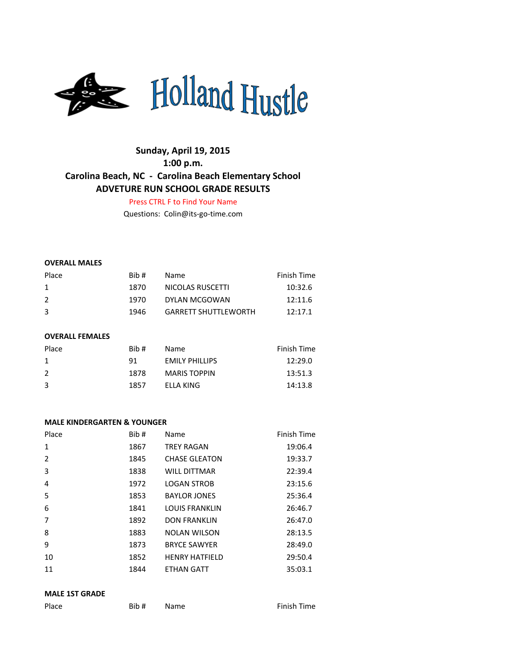

# **Sunday, April 19, 2015 1:00 p.m. Carolina Beach, NC - Carolina Beach Elementary School ADVETURE RUN SCHOOL GRADE RESULTS**

Press CTRL F to Find Your Name

Questions: Colin@its-go-time.com

#### **OVERALL MALES**

| Place         | Bib # | Name                        | Finish Time |
|---------------|-------|-----------------------------|-------------|
| $\mathbf{1}$  | 1870  | NICOLAS RUSCETTI            | 10:32.6     |
| $\mathcal{L}$ | 1970  | DYLAN MCGOWAN               | 12:11.6     |
| 3             | 1946  | <b>GARRETT SHUTTLEWORTH</b> | 12.171      |

#### **OVERALL FEMALES**

| Place | Rib# | Name.                 | Finish Time |
|-------|------|-----------------------|-------------|
| 1     | 91   | <b>EMILY PHILLIPS</b> | 12:29.0     |
| 2     | 1878 | <b>MARIS TOPPIN</b>   | 13:51.3     |
| 3     | 1857 | ELLA KING             | 14:13.8     |

#### **MALE KINDERGARTEN & YOUNGER**

| Place        | Bib # | Name                  | Finish Time |
|--------------|-------|-----------------------|-------------|
| $\mathbf{1}$ | 1867  | <b>TREY RAGAN</b>     | 19:06.4     |
| 2            | 1845  | <b>CHASE GLEATON</b>  | 19:33.7     |
| 3            | 1838  | <b>WILL DITTMAR</b>   | 22:39.4     |
| 4            | 1972  | <b>LOGAN STROB</b>    | 23:15.6     |
| 5            | 1853  | <b>BAYLOR JONES</b>   | 25:36.4     |
| 6            | 1841  | <b>LOUIS FRANKLIN</b> | 26:46.7     |
| 7            | 1892  | <b>DON FRANKLIN</b>   | 26:47.0     |
| 8            | 1883  | <b>NOLAN WILSON</b>   | 28:13.5     |
| 9            | 1873  | <b>BRYCE SAWYER</b>   | 28:49.0     |
| 10           | 1852  | <b>HENRY HATFIELD</b> | 29:50.4     |
| 11           | 1844  | <b>ETHAN GATT</b>     | 35:03.1     |

## **MALE 1ST GRADE**

| Place |  |
|-------|--|
|       |  |

**Bib #** Name **Finish Time**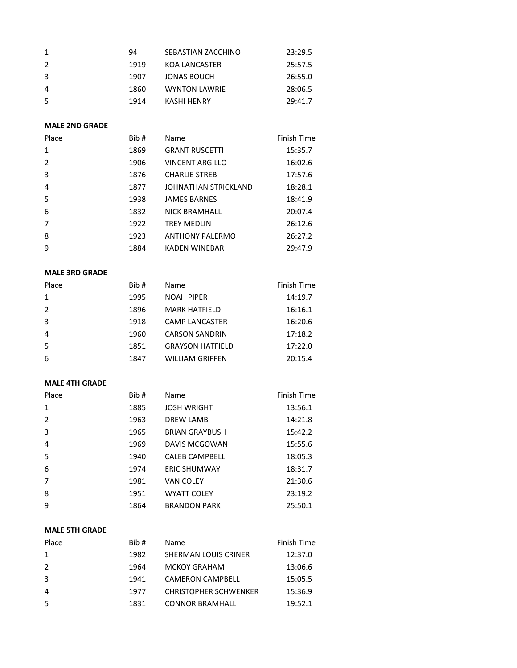|    | 94   | SEBASTIAN ZACCHINO   | 23:29.5 |
|----|------|----------------------|---------|
|    | 1919 | KOA LANCASTER        | 25:57.5 |
| -3 | 1907 | JONAS BOUCH          | 26:55.0 |
| 4  | 1860 | <b>WYNTON LAWRIE</b> | 28:06.5 |
| 5  | 1914 | KASHI HENRY          | 29:41.7 |

## **MALE 2ND GRADE**

| Place          | Bib # | Name                   | Finish Time |
|----------------|-------|------------------------|-------------|
| $\mathbf{1}$   | 1869  | <b>GRANT RUSCETTI</b>  | 15:35.7     |
| 2              | 1906  | <b>VINCENT ARGILLO</b> | 16:02.6     |
| 3              | 1876  | <b>CHARLIE STREB</b>   | 17:57.6     |
| 4              | 1877  | JOHNATHAN STRICKLAND   | 18:28.1     |
| 5              | 1938  | <b>JAMES BARNES</b>    | 18:41.9     |
| 6              | 1832  | <b>NICK BRAMHALL</b>   | 20:07.4     |
| $\overline{7}$ | 1922  | <b>TREY MEDLIN</b>     | 26:12.6     |
| 8              | 1923  | <b>ANTHONY PALERMO</b> | 26:27.2     |
| 9              | 1884  | <b>KADEN WINEBAR</b>   | 29:47.9     |

## **MALE 3RD GRADE**

| Place          | Bib# | Name                    | Finish Time |
|----------------|------|-------------------------|-------------|
| $\mathbf{1}$   | 1995 | <b>NOAH PIPER</b>       | 14:19.7     |
| 2              | 1896 | <b>MARK HATFIELD</b>    | 16:16.1     |
| 3              | 1918 | <b>CAMP LANCASTER</b>   | 16:20.6     |
| $\overline{4}$ | 1960 | <b>CARSON SANDRIN</b>   | 17:18.2     |
| 5              | 1851 | <b>GRAYSON HATFIELD</b> | 17:22.0     |
| 6              | 1847 | <b>WILLIAM GRIFFEN</b>  | 20:15.4     |

#### **MALE 4TH GRADE**

| Place          | Bib# | Name                  | Finish Time |
|----------------|------|-----------------------|-------------|
| $\mathbf{1}$   | 1885 | <b>JOSH WRIGHT</b>    | 13:56.1     |
| $\overline{2}$ | 1963 | DREW LAMB             | 14:21.8     |
| 3              | 1965 | <b>BRIAN GRAYBUSH</b> | 15:42.2     |
| $\overline{4}$ | 1969 | DAVIS MCGOWAN         | 15:55.6     |
| 5              | 1940 | <b>CALEB CAMPBELL</b> | 18:05.3     |
| 6              | 1974 | <b>ERIC SHUMWAY</b>   | 18:31.7     |
| $\overline{7}$ | 1981 | <b>VAN COLEY</b>      | 21:30.6     |
| 8              | 1951 | <b>WYATT COLEY</b>    | 23:19.2     |
| 9              | 1864 | <b>BRANDON PARK</b>   | 25:50.1     |

# **MALE 5TH GRADE**

| Bib# | Name                         | Finish Time |
|------|------------------------------|-------------|
| 1982 | SHERMAN LOUIS CRINER         | 12:37.0     |
| 1964 | <b>MCKOY GRAHAM</b>          | 13:06.6     |
| 1941 | <b>CAMERON CAMPBELL</b>      | 15:05.5     |
| 1977 | <b>CHRISTOPHER SCHWENKER</b> | 15:36.9     |
| 1831 | <b>CONNOR BRAMHALL</b>       | 19:52.1     |
|      |                              |             |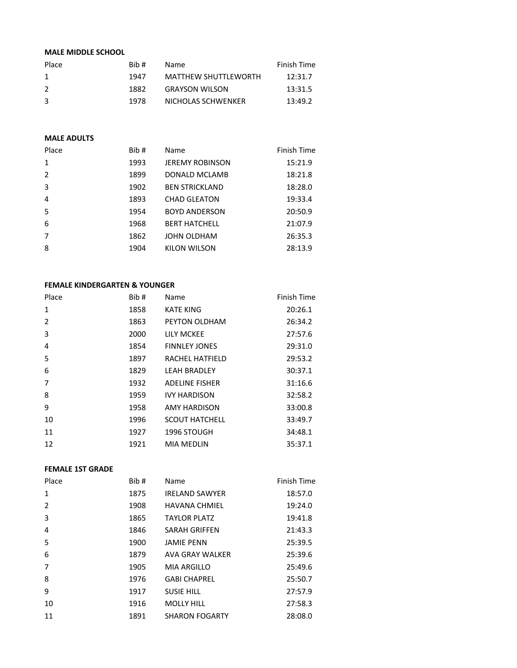## **MALE MIDDLE SCHOOL**

| Place         | Bib # | Name                        | Finish Time |
|---------------|-------|-----------------------------|-------------|
| $\mathbf{1}$  | 1947  | <b>MATTHEW SHUTTLEWORTH</b> | 12:31.7     |
| $\mathcal{L}$ | 1882  | <b>GRAYSON WILSON</b>       | 13:31.5     |
| -3            | 1978  | NICHOLAS SCHWENKER          | 13:49.2     |

#### **MALE ADULTS**

| Place          | Bib # | Name                   | Finish Time |
|----------------|-------|------------------------|-------------|
| 1              | 1993  | <b>JEREMY ROBINSON</b> | 15:21.9     |
| 2              | 1899  | DONALD MCLAMB          | 18:21.8     |
| 3              | 1902  | <b>BEN STRICKLAND</b>  | 18:28.0     |
| $\overline{4}$ | 1893  | <b>CHAD GLEATON</b>    | 19:33.4     |
| 5              | 1954  | <b>BOYD ANDERSON</b>   | 20:50.9     |
| 6              | 1968  | <b>BERT HATCHELL</b>   | 21:07.9     |
| $\overline{7}$ | 1862  | JOHN OLDHAM            | 26:35.3     |
| 8              | 1904  | KILON WILSON           | 28:13.9     |
|                |       |                        |             |

#### **FEMALE KINDERGARTEN & YOUNGER**

| Place          | Bib# | Name                  | Finish Time |
|----------------|------|-----------------------|-------------|
| $\mathbf{1}$   | 1858 | <b>KATE KING</b>      | 20:26.1     |
| 2              | 1863 | PEYTON OLDHAM         | 26:34.2     |
| 3              | 2000 | <b>LILY MCKEE</b>     | 27:57.6     |
| $\overline{4}$ | 1854 | <b>FINNLEY JONES</b>  | 29:31.0     |
| 5              | 1897 | RACHEL HATFIELD       | 29:53.2     |
| 6              | 1829 | <b>LEAH BRADLEY</b>   | 30:37.1     |
| $\overline{7}$ | 1932 | <b>ADELINE FISHER</b> | 31:16.6     |
| 8              | 1959 | <b>IVY HARDISON</b>   | 32:58.2     |
| 9              | 1958 | <b>AMY HARDISON</b>   | 33:00.8     |
| 10             | 1996 | <b>SCOUT HATCHELL</b> | 33:49.7     |
| 11             | 1927 | 1996 STOUGH           | 34:48.1     |
| 12             | 1921 | <b>MIA MEDLIN</b>     | 35:37.1     |

## **FEMALE 1ST GRADE**

| Place          | Bib# | Name                  | Finish Time |
|----------------|------|-----------------------|-------------|
| $\mathbf{1}$   | 1875 | <b>IRELAND SAWYER</b> | 18:57.0     |
| 2              | 1908 | <b>HAVANA CHMIEL</b>  | 19:24.0     |
| 3              | 1865 | <b>TAYLOR PLATZ</b>   | 19:41.8     |
| $\overline{4}$ | 1846 | <b>SARAH GRIFFEN</b>  | 21:43.3     |
| 5              | 1900 | <b>JAMIE PENN</b>     | 25:39.5     |
| 6              | 1879 | AVA GRAY WALKER       | 25:39.6     |
| 7              | 1905 | <b>MIA ARGILLO</b>    | 25:49.6     |
| 8              | 1976 | <b>GABI CHAPREL</b>   | 25:50.7     |
| 9              | 1917 | <b>SUSIE HILL</b>     | 27:57.9     |
| 10             | 1916 | <b>MOLLY HILL</b>     | 27:58.3     |
| 11             | 1891 | <b>SHARON FOGARTY</b> | 28:08.0     |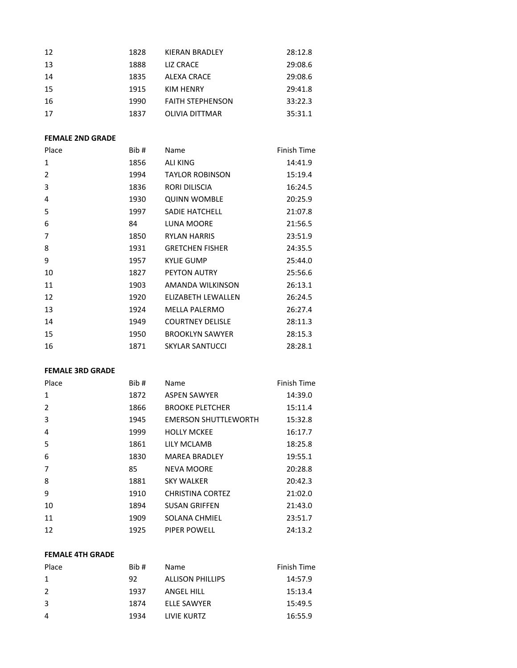| 12 | 1828 | KIERAN BRADLEY          | 28:12.8 |
|----|------|-------------------------|---------|
| 13 | 1888 | LIZ CRACE               | 29:08.6 |
| 14 | 1835 | ALEXA CRACE             | 29:08.6 |
| 15 | 1915 | KIM HENRY               | 29:41.8 |
| 16 | 1990 | <b>FAITH STEPHENSON</b> | 33:22.3 |
| 17 | 1837 | <b>OLIVIA DITTMAR</b>   | 35:31.1 |

#### **FEMALE 2ND GRADE**

| Bib # | Name                    | Finish Time |
|-------|-------------------------|-------------|
| 1856  | <b>ALI KING</b>         | 14:41.9     |
| 1994  | <b>TAYLOR ROBINSON</b>  | 15:19.4     |
| 1836  | RORI DILISCIA           | 16:24.5     |
| 1930  | <b>QUINN WOMBLE</b>     | 20:25.9     |
| 1997  | <b>SADIE HATCHELL</b>   | 21:07.8     |
| 84    | <b>LUNA MOORE</b>       | 21:56.5     |
| 1850  | <b>RYLAN HARRIS</b>     | 23:51.9     |
| 1931  | <b>GRETCHEN FISHER</b>  | 24:35.5     |
| 1957  | <b>KYLIE GUMP</b>       | 25:44.0     |
| 1827  | <b>PEYTON AUTRY</b>     | 25:56.6     |
| 1903  | AMANDA WILKINSON        | 26:13.1     |
| 1920  | ELIZABETH LEWALLEN      | 26:24.5     |
| 1924  | <b>MELLA PALERMO</b>    | 26:27.4     |
| 1949  | <b>COURTNEY DELISLE</b> | 28:11.3     |
| 1950  | <b>BROOKLYN SAWYER</b>  | 28:15.3     |
| 1871  | <b>SKYLAR SANTUCCI</b>  | 28:28.1     |
|       |                         |             |

### **FEMALE 3RD GRADE**

| Place | Bib # | Name                        | Finish Time |
|-------|-------|-----------------------------|-------------|
| 1     | 1872  | <b>ASPEN SAWYER</b>         | 14:39.0     |
| 2     | 1866  | <b>BROOKE PLETCHER</b>      | 15:11.4     |
| 3     | 1945  | <b>EMERSON SHUTTLEWORTH</b> | 15:32.8     |
| 4     | 1999  | <b>HOLLY MCKEE</b>          | 16:17.7     |
| 5     | 1861  | LILY MCLAMB                 | 18:25.8     |
| 6     | 1830  | <b>MAREA BRADLEY</b>        | 19:55.1     |
| 7     | 85    | <b>NEVA MOORE</b>           | 20:28.8     |
| 8     | 1881  | <b>SKY WALKER</b>           | 20:42.3     |
| 9     | 1910  | <b>CHRISTINA CORTEZ</b>     | 21:02.0     |
| 10    | 1894  | <b>SUSAN GRIFFEN</b>        | 21:43.0     |
| 11    | 1909  | SOLANA CHMIEL               | 23:51.7     |
| 12    | 1925  | PIPER POWELL                | 24:13.2     |

#### **FEMALE 4TH GRADE**

| Place | Rib# | <b>Name</b>             | Finish Time |
|-------|------|-------------------------|-------------|
| 1     | 92   | <b>ALLISON PHILLIPS</b> | 14:57.9     |
| 2     | 1937 | ANGEL HILL              | 15:13.4     |
| 3     | 1874 | <b>ELLE SAWYER</b>      | 15:49.5     |
| 4     | 1934 | LIVIE KURTZ             | 16:55.9     |